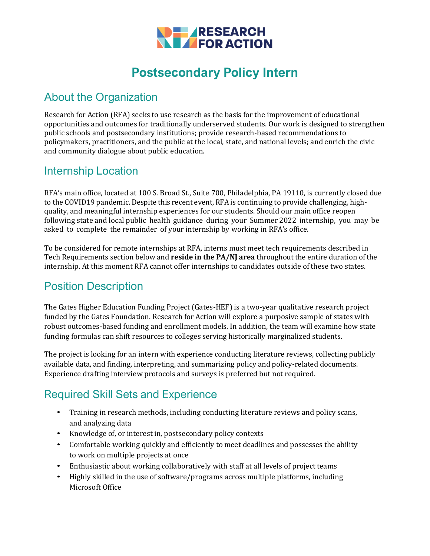

# **Postsecondary Policy Intern**

### About the Organization

Research for Action (RFA) seeks to use research as the basis for the improvement of educational opportunities and outcomes for traditionally underserved students. Our work is designed to strengthen public schools and postsecondary institutions; provide research-based recommendations to policymakers, practitioners, and the public at the local, state, and national levels; and enrich the civic and community dialogue about public education.

#### Internship Location

RFA's main office, located at 100 S. Broad St., Suite 700, Philadelphia, PA 19110, is currently closed due to the COVID19 pandemic. Despite this recent event, RFA is continuing to provide challenging, highquality, and meaningful internship experiences for our students. Should our main office reopen following state and local public health guidance during your Summer 2022 internship, you may be asked to complete the remainder of your internship by working in RFA's office.

To be considered for remote internships at RFA, interns must meet tech requirements described in Tech Requirements section below and **reside in the PA/NJ area** throughout the entire duration of the internship. At this moment RFA cannot offer internships to candidates outside of these two states.

### Position Description

The Gates Higher Education Funding Project (Gates-HEF) is a two-year qualitative research project funded by the Gates Foundation. Research for Action will explore a purposive sample of states with robust outcomes-based funding and enrollment models. In addition, the team will examine how state funding formulas can shift resources to colleges serving historically marginalized students.

The project is looking for an intern with experience conducting literature reviews, collecting publicly available data, and finding, interpreting, and summarizing policy and policy-related documents. Experience drafting interview protocols and surveys is preferred but not required.

### Required Skill Sets and Experience

- Training in research methods, including conducting literature reviews and policy scans, and analyzing data
- Knowledge of, or interest in, postsecondary policy contexts
- Comfortable working quickly and efficiently to meet deadlines and possesses the ability to work on multiple projects at once
- Enthusiastic about working collaboratively with staff at all levels of project teams
- Highly skilled in the use of software/programs across multiple platforms, including Microsoft Office